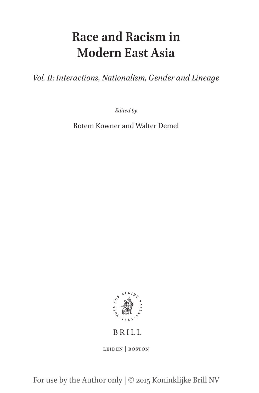# **Race and Racism in Modern East Asia**

*Vol. II: Interactions, Nationalism, Gender and Lineage*

 *Edited by* 

Rotem Kowner and Walter Demel



# **BRILL**

LEIDEN | BOSTON

For use by the Author only | © 2015 Koninklijke Brill NV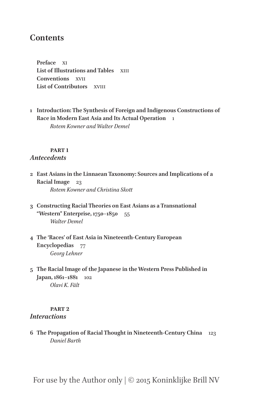# **Contents**

**Preface** xi List of Illustrations and Tables **XIII Conventions** xvii **List of Contributors** xviii

**1 Introduction: The Synthesis of Foreign and Indigenous Constructions of Race in Modern East Asia and Its Actual Operation** 1 *Rotem Kowner and Walter Demel*

#### **part 1** *Antecedents*

- **2 East Asians in the Linnaean Taxonomy: Sources and Implications of a Racial Image** 23 *Rotem Kowner and Christina Skott*
- **3 Constructing Racial Theories on East Asians as a Transnational "Western" Enterprise, 1750–1850** 55 *Walter Demel*
- **4 The 'Races' of East Asia in Nineteenth-Century European Encyclopedias** 77 *Georg Lehner*
- **5 The Racial Image of the Japanese in the Western Press Published in Japan, 1861–1881** 102 *Olavi K. Fält*

# **part 2**

# *Interactions*

**6 The Propagation of Racial Thought in Nineteenth-Century China** 123 *Daniel Barth*

For use by the Author only | © 2015 Koninklijke Brill NV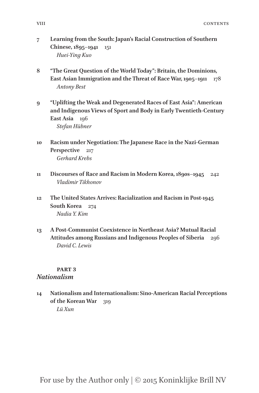- **7 Learning from the South: Japan's Racial Construction of Southern Chinese, 1895–1941** 151 *Huei-Ying Kuo*
- **8 "The Great Question of the World Today": Britain, the Dominions, East Asian Immigration and the Threat of Race War, 1905–1911** 178 *Antony Best*
- **9 "Uplifting the Weak and Degenerated Races of East Asia": American and Indigenous Views of Sport and Body in Early Twentieth-Century East Asia** 196 *Stefan Hübner*
- **10 Racism under Negotiation: The Japanese Race in the Nazi-German Perspective** 217 *Gerhard Krebs*
- **11 Discourses of Race and Racism in Modern Korea, 1890s–1945** 242 *Vladimir Tikhonov*
- **12 The United States Arrives: Racialization and Racism in Post-1945 South Korea** 274 *Nadia Y. Kim*
- **13 A Post-Communist Coexistence in Northeast Asia? Mutual Racial Attitudes among Russians and Indigenous Peoples of Siberia** 296 *David C. Lewis*

# **part 3**

# *Nationalism*

**14 Nationalism and Internationalism: Sino-American Racial Perceptions of the Korean War** 319 *Lü Xun*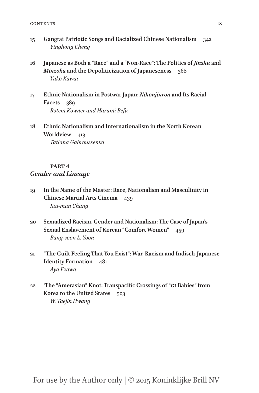- **15 Gangtai Patriotic Songs and Racialized Chinese Nationalism** 342 *Yinghong Cheng*
- 16 Japanese as Both a "Race" and a "Non-Race": The Politics of *Jinshu* and *Minzoku* **and the Depoliticization of Japaneseness** 368 *Yuko Kawai*
- **17 Ethnic Nationalism in Postwar Japan:** *Nihonjinron* **and Its Racial Facets** 389 *Rotem Kowner and Harumi Befu*
- **18 Ethnic Nationalism and Internationalism in the North Korean Worldview** 413 *Tatiana Gabroussenko*

# **part 4** *Gender and Lineage*

- **19 In the Name of the Master: Race, Nationalism and Masculinity in Chinese Martial Arts Cinema** 439 *Kai-man Chang*
- **20 Sexualized Racism, Gender and Nationalism: The Case of Japan's Sexual Enslavement of Korean "Comfort Women"** 459 *Bang-soon L. Yoon*
- **21 "The Guilt Feeling That You Exist": War, Racism and Indisch-Japanese Identity Formation** 481 *Aya Ezawa*
- 22 The "Amerasian" Knot: Transpacific Crossings of "GI Babies" from **Korea to the United States** 503 *W. Taejin Hwang*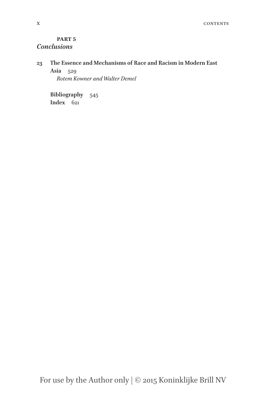# **part 5** *Conclusions*

**23 The Essence and Mechanisms of Race and Racism in Modern East Asia** 529

*Rotem Kowner and Walter Demel*

 **Bibliography** 545  **Index** 621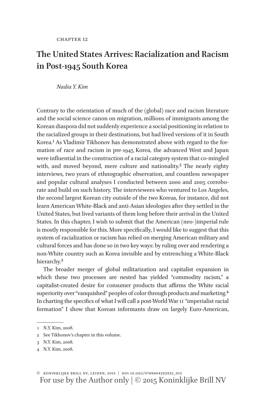# **The United States Arrives: Racialization and Racism in Post-1945 South Korea**

*Nadia Y. Kim*

Contrary to the orientation of much of the (global) race and racism literature and the social science canon on migration, millions of immigrants among the Korean diaspora did not suddenly experience a social positioning in relation to the racialized groups in their destinations, but had lived versions of it in South Korea.<sup>1</sup> As Vladimir Tikhonov has demonstrated above with regard to the formation of race and racism in pre-1945 Korea, the advanced West and Japan were influential in the construction of a racial category system that co-mingled with, and moved beyond, mere culture and nationality.<sup>2</sup> The nearly eighty interviews, two years of ethnographic observation, and countless newspaper and popular cultural analyses I conducted between 2000 and 2005 corroborate and build on such history. The interviewees who ventured to Los Angeles, the second largest Korean city outside of the two Koreas, for instance, did not learn American White-Black and anti-Asian ideologies after they settled in the United States, but lived variants of them long before their arrival in the United States. In this chapter, I wish to submit that the American (neo-)imperial rule is mostly responsible for this. More specifically, I would like to suggest that this system of racialization or racism has relied on merging American military and cultural forces and has done so in two key ways: by ruling over and rendering a non-White country such as Korea invisible and by entrenching a White-Black hierarchy.3

The broader merger of global militarization and capitalist expansion in which these two processes are nested has yielded "commodity racism," a capitalist-created desire for consumer products that affirms the White racial superiority over "vanquished" peoples of color through products and marketing.4 In charting the specifics of what I will call a post-World War II "imperialist racial formation" I show that Korean informants draw on largely Euro-American,

<sup>1</sup> N.Y. Kim, 2008.

<sup>2</sup> See Tikhonov's chapter in this volume.

<sup>3</sup> N.Y. Kim, 2008.

<sup>4</sup> N.Y. Kim, 2008.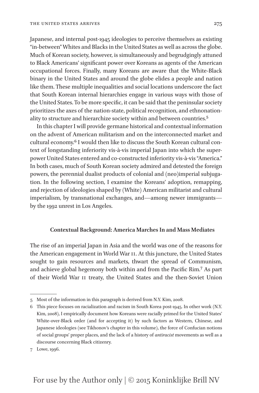Japanese, and internal post-1945 ideologies to perceive themselves as existing "in-between" Whites and Blacks in the United States as well as across the globe. Much of Korean society, however, is simultaneously and begrudgingly attuned to Black Americans' significant power over Koreans as agents of the American occupational forces. Finally, many Koreans are aware that the White-Black binary in the United States and around the globe elides a people and nation like them. These multiple inequalities and social locations underscore the fact that South Korean internal hierarchies engage in various ways with those of the United States. To be more specific, it can be said that the peninsular society prioritizes the axes of the nation-state, political recognition, and ethnonationality to structure and hierarchize society within and between countries.5

In this chapter I will provide germane historical and contextual information on the advent of American militarism and on the interconnected market and cultural economy.6 I would then like to discuss the South Korean cultural context of longstanding inferiority vis-à-vis imperial Japan into which the superpower United States entered and co-constructed inferiority vis-à-vis "America." In both cases, much of South Korean society admired and detested the foreign powers, the perennial dualist products of colonial and (neo)imperial subjugation. In the following section, I examine the Koreans' adoption, remapping, and rejection of ideologies shaped by (White) American militarist and cultural imperialism, by transnational exchanges, and—among newer immigrants by the 1992 unrest in Los Angeles.

#### **Contextual Background: America Marches In and Mass Mediates**

The rise of an imperial Japan in Asia and the world was one of the reasons for the American engagement in World War II. At this juncture, the United States sought to gain resources and markets, thwart the spread of Communism, and achieve global hegemony both within and from the Pacific Rim.<sup>7</sup> As part of their World War II treaty, the United States and the then-Soviet Union

<sup>5</sup> Most of the information in this paragraph is derived from N.Y. Kim, 2008.

<sup>6</sup> This piece focuses on racialization and racism in South Korea post-1945. In other work (N.Y. Kim, 2008), I empirically document how Koreans were racially primed for the United States' White-over-Black order (and for accepting it) by such factors as Western, Chinese, and Japanese ideologies (see Tikhonov's chapter in this volume), the force of Confucian notions of social groups' proper places, and the lack of a history of *antiracist* movements as well as a discourse concerning Black citizenry.

<sup>7</sup> Lowe, 1996.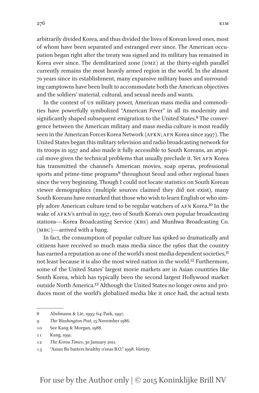arbitrarily divided Korea, and thus divided the lives of Korean loved ones, most of whom have been separated and estranged ever since. The American occupation began right after the treaty was signed and its military has remained in Korea ever since. The demilitarized zone (DMZ) at the thirty-eighth parallel currently remains the most heavily armed region in the world. In the almost 70 years since its establishment, many expansive military bases and surrounding camptowns have been built to accommodate both the American objectives

and the soldiers' material, cultural, and sexual needs and wants.

In the context of US military power, American mass media and commodities have powerfully symbolized "American Fever" in all its modernity and significantly shaped subsequent emigration to the United States.<sup>8</sup> The convergence between the American military and mass media culture is most readily seen in the American Forces Korea Network (AFKN; AFN Korea since 1997). The United States began this military television and radio broadcasting network for its troops in 1957 and also made it fully accessible to South Koreans, an atypical move given the technical problems that usually preclude it. Yet AFN Korea has transmitted the channel's American movies, soap operas, professional sports and prime-time programs<sup>9</sup> throughout Seoul and other regional bases since the very beginning. Though I could not locate statistics on South Korean viewer demographics (multiple sources claimed they did not exist), many South Koreans have remarked that those who wish to learn English or who simply adore American culture tend to be regular watchers of AFN Korea.10 In the wake of AFKN's arrival in 1957, two of South Korea's own popular broadcasting stations—Korea Broadcasting Service (KBS) and Munhwa Broadcasting Co. (MBC)—arrived with a bang.

In fact, the consumption of popular culture has spiked so dramatically and citizens have received so much mass media since the 1960s that the country has earned a reputation as one of the world's most media dependent societies,<sup>11</sup> not least because it is also the most wired nation in the world.12 Furthermore, some of the United States' largest movie markets are in Asian countries like South Korea, which has typically been the second largest Hollywood market outside North America.13 Although the United States no longer owns and produces most of the world's globalized media like it once had, the actual texts

<sup>8</sup> Abelmann & Lie, 1995: 64; Park, 1997.

<sup>9</sup> *The Washington Post*, 15 November 1986.

<sup>10</sup> See Kang & Morgan, 1988.

<sup>11</sup> Kang, 1991.

<sup>12</sup> *The Korea Times*, 30 January 2011.

<sup>13 &</sup>quot;Asian flu batters healthy o'seas B.O." 1998. *Variety*.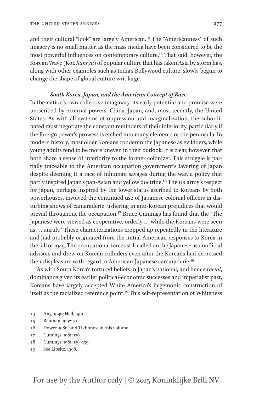and their cultural "look" are largely American.14 The "Americanness" of such imagery is no small matter, as the mass media have been considered to be the most powerful influences on contemporary culture.15 That said, however, the Korean Wave (Kor. *hanryu*) of popular culture that has taken Asia by storm has, along with other examples such as India's Bollywood culture, slowly begun to change the shape of global culture writ large.

#### *South Korea, Japan, and the American Concept of Race*

In the nation's own collective imaginary, its early potential and promise were proscribed by external powers: China, Japan, and, most recently, the United States. As with all systems of oppression and marginalization, the subordinated must negotiate the constant reminders of their inferiority, particularly if the foreign power's prowess is etched into many elements of the peninsula. In modern history, most older Koreans condemn the Japanese as evildoers, while young adults tend to be more uneven in their outlook. It is clear, however, that both share a sense of inferiority to the former colonizer. This struggle is partially traceable to the American occupation government's favoring of Japan despite deeming it a race of inhuman savages during the war, a policy that partly inspired Japan's pan-Asian and yellow doctrine.16 The US army's respect for Japan, perhaps inspired by the lower status ascribed to Koreans by both powerhouses, involved the continued use of Japanese colonial officers in disturbing shows of camaraderie, ushering in anti-Korean prejudices that would prevail throughout the occupation.17 Bruce Cumings has found that the "The Japanese were viewed as cooperative, orderly ... while the Koreans were seen as . . . unruly." These characterizations cropped up repeatedly in the literature and had probably originated from the initial American responses to Korea in the fall of 1945. The occupational forces still called on the Japanese as unofficial advisors and drew on Korean colluders even after the Koreans had expressed their displeasure with regard to American-Japanese camaraderie.<sup>18</sup>

As with South Korea's tortured beliefs in Japan's national, and hence *racial*, dominance given its earlier political-economic successes and imperialist past, Koreans have largely accepted White America's hegemonic construction of itself as the racialized reference point.<sup>19</sup> This self-representation of Whiteness

<sup>14</sup> Ang, 1996; Hall, 1991.

<sup>15</sup> Bauman, 1992: 31

<sup>16</sup> Dower, 1986; and Tikhonov, in this volume.

<sup>17</sup> Cumings, 1981: 138.

<sup>18</sup> Cumings, 1981: 138–139.

<sup>19</sup> See Lipsitz, 1998.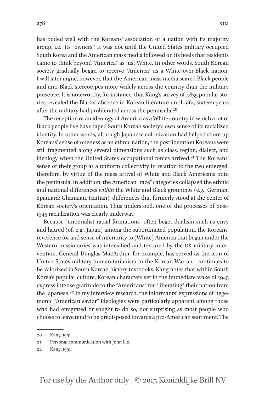has boded well with the Koreans' association of a nation with its majority group, i.e., its "owners." It was not until the United States military occupied South Korea and the American mass media followed on its heels that residents came to think beyond "America" as just White. In other words, South Korean society gradually began to receive "America" as a White-over-Black nation. I will later argue, however, that the American mass media seared Black people and anti-Black stereotypes more widely across the country than the military presence. It is noteworthy, for instance, that Kang's survey of 1,835 popular stories revealed the Blacks' absence in Korean literature until 1961, sixteen years after the military had proliferated across the peninsula.20

The reception of an ideology of America as a White country in which a lot of Black people live has shaped South Korean society's own sense of its racialized identity. In other words, although Japanese colonization had helped shore up Koreans' sense of oneness as an ethnic nation, the postliberation Koreans were still fragmented along several dimensions such as class, region, dialect, and ideology when the United States occupational forces arrived.<sup>21</sup> The Koreans' sense of their group as a uniform collectivity in relation to the two emerged, therefore, by virtue of the mass arrival of White and Black Americans onto the peninsula. In addition, the American "race" categories collapsed the ethnic and national diffferences *within* the White and Black groupings (e.g., German, Spaniard; Ghanaian, Haitian), diffferences that formerly stood at the center of Korean society's orientation. Thus understood, one of the processes of post-1945 racialization was clearly underway.

Because "imperialist racial formations" often beget dualism such as envy and hatred (of, e.g., Japan) among the subordinated population, the Koreans' reverence for and sense of inferiority to (White) America that began under the Western missionaries was intensified and textured by the US military intervention. General Douglas MacArthur, for example, has served as the icon of United States military humanitarianism in the Korean War and continues to be valorized in South Korean history textbooks. Kang notes that within South Korea's popular culture, Korean characters set in the immediate wake of 1945 express intense gratitude to the "Americans" for "liberating" their nation from the Japanese.<sup>22</sup> In my interview research, the informants' expressions of hegemonic "American savior" ideologies were particularly apparent among those who had emigrated or sought to do so, not surprising as most people who choose to leave tend to be predisposed towards a pro-American sentiment. The

<sup>20</sup> Kang, 1991.

<sup>21</sup> Personal communication with John Lie.

<sup>22</sup> Kang, 1991.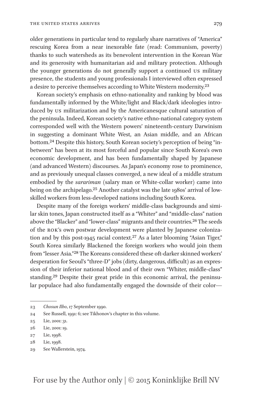older generations in particular tend to regularly share narratives of "America" rescuing Korea from a near inexorable fate (read: Communism, poverty) thanks to such watersheds as its benevolent intervention in the Korean War and its generosity with humanitarian aid and military protection. Although the younger generations do not generally support a continued US military presence, the students and young professionals I interviewed often expressed a desire to perceive themselves according to White Western modernity.23

Korean society's emphasis on ethno-nationality and ranking by blood was fundamentally informed by the White/light and Black/dark ideologies introduced by US militarization and by the Americanesque cultural saturation of the peninsula. Indeed, Korean society's native ethno-national category system corresponded well with the Western powers' nineteenth-century Darwinism in suggesting a dominant White West, an Asian middle, and an African bottom.24 Despite this history, South Korean society's perception of being "inbetween" has been at its most forceful and popular since South Korea's own economic development, and has been fundamentally shaped by Japanese (and advanced Western) discourses. As Japan's economy rose to prominence, and as previously unequal classes converged, a new ideal of a middle stratum embodied by the *sarariman* (salary man or White-collar worker) came into being on the archipelago.<sup>25</sup> Another catalyst was the late 1980s' arrival of lowskilled workers from less-developed nations including South Korea.

Despite many of the foreign workers' middle-class backgrounds and similar skin tones, Japan constructed itself as a "Whiter" and "middle-class" nation above the "Blacker" and "lower-class" migrants and their countries.<sup>26</sup> The seeds of the ROK's own postwar development were planted by Japanese colonization and by this post-1945 racial context.<sup>27</sup> As a later blooming "Asian Tiger," South Korea similarly Blackened the foreign workers who would join them from "lesser Asia."28 The Koreans considered these oft-darker skinned workers' desperation for Seoul's "three-D" jobs (dirty, dangerous, difficult) as an expression of their inferior national blood and of their own "Whiter, middle-class" standing.<sup>29</sup> Despite their great pride in this economic arrival, the peninsular populace had also fundamentally engaged the downside of their color—

- 26 Lie, 2001: 19.
- 27 Lie, 1998.
- 28 Lie, 1998.
- 29 See Wallerstein, 1974.

# For use by the Author only | © 2015 Koninklijke Brill NV

<sup>23</sup> *Chosun Ilbo*, 17 September 1990.

<sup>24</sup> See Russell, 1991: 6; see Tikhonov's chapter in this volume.

<sup>25</sup> Lie, 2001: 31.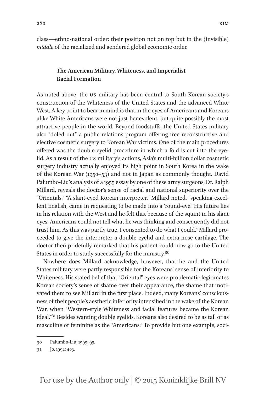class—ethno-national order: their position not on top but in the (invisible) *middle* of the racialized and gendered global economic order.

### **The American Military, Whiteness, and Imperialist Racial Formation**

As noted above, the US military has been central to South Korean society's construction of the Whiteness of the United States and the advanced White West. A key point to bear in mind is that in the eyes of Americans and Koreans alike White Americans were not just benevolent, but quite possibly the most attractive people in the world. Beyond foodstuffs, the United States military also "doled out" a public relations program offering free reconstructive and elective cosmetic surgery to Korean War victims. One of the main procedures offfered was the double eyelid procedure in which a fold is cut into the eyelid. As a result of the US military's actions, Asia's multi-billion dollar cosmetic surgery industry actually enjoyed its high point in South Korea in the wake of the Korean War (1950–53) and not in Japan as commonly thought. David Palumbo-Liu's analysis of a 1955 essay by one of these army surgeons, Dr. Ralph Millard, reveals the doctor's sense of racial and national superiority over the "Orientals." "A slant-eyed Korean interpreter," Millard noted, "speaking excellent English, came in requesting to be made into a 'round-eye.' His future lies in his relation with the West and he felt that because of the squint in his slant eyes, Americans could not tell what he was thinking and consequently did not trust him. As this was partly true, I consented to do what I could." Millard proceeded to give the interpreter a double eyelid and extra nose cartilage. The doctor then pridefully remarked that his patient could now go to the United States in order to study successfully for the ministry.30

Nowhere does Millard acknowledge, however, that he and the United States military were partly responsible for the Koreans' sense of inferiority to Whiteness. His stated belief that "Oriental" eyes were problematic legitimates Korean society's sense of shame over their appearance, the shame that motivated them to see Millard in the first place. Indeed, many Koreans' consciousness of their people's aesthetic inferiority intensified in the wake of the Korean War, when "Western-style Whiteness and facial features became the Korean ideal."31 Besides wanting double eyelids, Koreans also desired to be as tall or as masculine or feminine as the "Americans." To provide but one example, soci-

<sup>30</sup> Palumbo-Liu, 1999: 95.

<sup>31</sup> Jo, 1992: 403.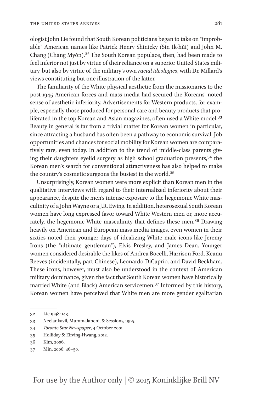ologist John Lie found that South Korean politicians began to take on "improbable" American names like Patrick Henry Shinicky (Sin Ik-hŭi) and John M. Chang (Chang Myŏn).32 The South Korean populace, then, had been made to feel inferior not just by virtue of their reliance on a superior United States military, but also by virtue of the military's own *racial ideologies*, with Dr. Millard's views constituting but one illustration of the latter.

The familiarity of the White physical aesthetic from the missionaries to the post-1945 American forces and mass media had secured the Koreans' noted sense of aesthetic inferiority. Advertisements for Western products, for example, especially those produced for personal care and beauty products that proliferated in the top Korean and Asian magazines, often used a White model.<sup>33</sup> Beauty in general is far from a trivial matter for Korean women in particular, since attracting a husband has often been a pathway to economic survival. Job opportunities and chances for social mobility for Korean women are comparatively rare, even today. In addition to the trend of middle-class parents giving their daughters eyelid surgery as high school graduation presents,<sup>34</sup> the Korean men's search for conventional attractiveness has also helped to make the country's cosmetic surgeons the busiest in the world.35

Unsurprisingly, Korean women were more explicit than Korean men in the qualitative interviews with regard to their internalized inferiority about their appearance, despite the men's intense exposure to the hegemonic White masculinity of a John Wayne or a J.R. Ewing. In addition, heterosexual South Korean women have long expressed favor toward White Western men or, more accurately, the hegemonic White masculinity that defines these men.<sup>36</sup> Drawing heavily on American and European mass media images, even women in their sixties noted their younger days of idealizing White male icons like Jeremy Irons (the "ultimate gentleman"), Elvis Presley, and James Dean. Younger women considered desirable the likes of Andrea Bocelli, Harrison Ford, Keanu Reeves (incidentally, part Chinese), Leonardo DiCaprio, and David Beckham. These icons, however, must also be understood in the context of American military dominance, given the fact that South Korean women have historically married White (and Black) American servicemen.<sup>37</sup> Informed by this history, Korean women have perceived that White men are more gender egalitarian

37 Min, 2006: 46–50.

<sup>32</sup> Lie 1998: 143.

<sup>33</sup> Neelankavil, Mummalaneni, & Sessions, 1995.

<sup>34</sup> *Toronto Star Newspaper*, 4 October 2001.

<sup>35</sup> Holliday & Elfving-Hwang, 2012.

<sup>36</sup> Kim, 2006.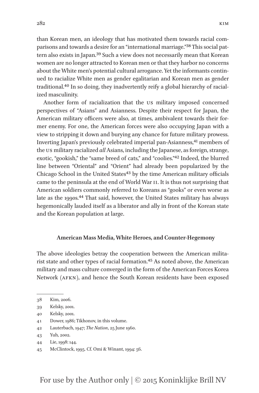than Korean men, an ideology that has motivated them towards racial comparisons and towards a desire for an "international marriage."38 This social pattern also exists in Japan.<sup>39</sup> Such a view does not necessarily mean that Korean women are no longer attracted to Korean men or that they harbor no concerns about the White men's potential cultural arrogance. Yet the informants continued to racialize White men as gender egalitarian and Korean men as gender traditional.40 In so doing, they inadvertently reify a global hierarchy of racialized masculinity.

Another form of racialization that the US military imposed concerned perspectives of "Asians" and Asianness. Despite their respect for Japan, the American military officers were also, at times, ambivalent towards their former enemy. For one, the American forces were also occupying Japan with a view to stripping it down and burying any chance for future military prowess. Inverting Japan's previously celebrated imperial pan-Asianness,<sup>41</sup> members of the US military racialized *all* Asians, including the Japanese, as foreign, strange, exotic, "gookish," the "same breed of cats," and "coolies."42 Indeed, the blurred line between "Oriental" and "Orient" had already been popularized by the Chicago School in the United States<sup>43</sup> by the time American military officials came to the peninsula at the end of World War II. It is thus not surprising that American soldiers commonly referred to Koreans as "gooks" or even worse as late as the 1990s.44 That said, however, the United States military has always hegemonically lauded itself as a liberator and ally in front of the Korean state and the Korean population at large.

#### **American Mass Media, White Heroes, and Counter-Hegemony**

The above ideologies betray the cooperation between the American militarist state and other types of racial formation.45 As noted above, the American military and mass culture converged in the form of the American Forces Korea Network (AFKN), and hence the South Korean residents have been exposed

- 42 Lauterbach, 1947; *The Nation*, 25 June 1960.
- 43 Yuh, 2002.
- 44 Lie, 1998: 144.
- 45 McClintock, 1995. Cf. Omi & Winant, 1994: 56.

<sup>38</sup> Kim, 2006.

<sup>39</sup> Kelsky, 2001.

<sup>40</sup> Kelsky, 2001.

<sup>41</sup> Dower, 1986; Tikhonov, in this volume.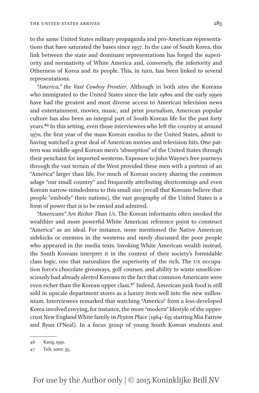to the same United States military propaganda and pro-American representations that have saturated the bases since 1957. In the case of South Korea, this link between the state and dominant representations has forged the superiority and normativity of White America and, conversely, the inferiority and Otherness of Korea and its people. This, in turn, has been linked to several representations.

*"America," the Vast Cowboy Frontier*. Although in both sites the Koreans who immigrated to the United States since the late 1980s and the early 1990s have had the greatest and most diverse access to American television news and entertainment, movies, music, and print journalism, American popular culture has also been an integral part of South Korean life for the past forty years.46 In this setting, even those interviewees who left the country at around 1970, the first year of the mass Korean exodus to the United States, admit to having watched a great deal of American movies and television hits. One pattern was middle-aged Korean men's "absorption" of the United States through their penchant for imported westerns. Exposure to John Wayne's free journeys through the vast terrain of the West provided these men with a portrait of an "America" larger than life. For much of Korean society sharing the common adage "our small country" and frequently attributing shortcomings and even Korean narrow-mindedness to this small size (recall that Koreans believe that people "embody" their nations), the vast geography of the United States is a form of power that is to be envied and admired.

*"Americans" Are Richer Than Us*. The Korean informants often invoked the wealthier and more powerful White American reference point to construct "America" as an ideal. For instance, none mentioned the Native American sidekicks or enemies in the westerns and rarely discussed the poor people who appeared in the media texts. Invoking White American wealth instead, the South Koreans interpret it in the context of their society's formidable class logic, one that naturalizes the superiority of the rich. The US occupation force's chocolate giveaways, golf courses, and ability to waste unselfconsciously had already alerted Koreans to the fact that common Americans were even richer than the Korean upper class.<sup>47</sup> Indeed, American junk food is still sold in upscale department stores as a luxury item well into the new millennium. Interviewees remarked that watching "America" from a less-developed Korea involved envying, for instance, the more "modern" lifestyle of the uppercrust New England White family in *Peyton Place* (1964–69; starring Mia Farrow and Ryan O'Neal). In a focus group of young South Korean students and

<sup>46</sup> Kang, 1991.

<sup>47</sup> Yuh, 2002: 35.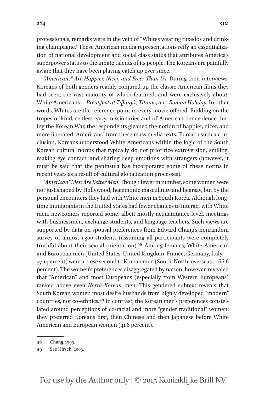professionals, remarks were in the vein of "Whites wearing tuxedos and drinking champagne." These American media representations reify an essentialization of national development and social class status that attributes America's superpower status to the innate talents of its people. The Koreans are painfully aware that they have been playing catch up ever since.

*"Americans" Are Happier, Nicer, and Freer Than Us*. During their interviews, Koreans of both genders readily conjured up the classic American films they had seen, the vast majority of which featured, and were exclusively about, White Americans—*Breakfast at Tifffany's, Titanic*, and *Roman Holiday*. In other words, Whites are the reference point in every movie offered. Building on the tropes of kind, selfless early missionaries and of American benevolence during the Korean War, the respondents gleaned the notion of happier, nicer, and more liberated "Americans" from these mass media texts. To reach such a conclusion, Koreans understood White Americans within the logic of the South Korean cultural norms that typically do not prioritize extroversion, smiling, making eye contact, and sharing deep emotions with strangers (however, it must be said that the peninsula has incorporated some of these norms in recent years as a result of cultural globalization processes).

*"American" Men Are Better Men*. Though fewer in number, some women were not just shaped by Hollywood, hegemonic masculinity and hearsay, but by the personal encounters they had with White men in South Korea. Although longtime immigrants in the United States had fewer chances to interact with White men, newcomers reported some, albeit mostly acquaintance-level, meetings with businessmen, exchange students, and language teachers. Such views are supported by data on spousal preferences from Edward Chang's nonrandom survey of almost 1,300 students (assuming all participants were completely truthful about their sexual orientation).48 Among females, White American and European men (United States, United Kingdom, France, Germany, Italy— 57.1 percent) were a close second to Korean men (South, North, overseas—66.6 percent). The women's preferences disaggregated by nation, however, revealed that "American" and most Europeans (especially from Western Europeans) ranked above even *North Korean* men. This gendered subtext reveals that South Korean women most desire husbands from highly developed "modern" countries, not co-ethnics.49 In contrast, the Korean men's preferences constellated around perceptions of co-racial and more "gender traditional" women; they preferred Koreans first, then Chinese and then Japanese before White American and European women (41.6 percent).

<sup>48</sup> Chang, 1999.

<sup>49</sup> See Hirsch, 2003.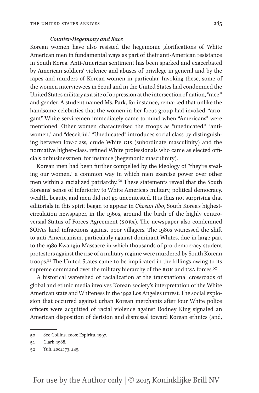#### *Counter-Hegemony and Race*

Korean women have also resisted the hegemonic glorifications of White American men in fundamental ways as part of their anti-American resistance in South Korea. Anti-American sentiment has been sparked and exacerbated by American soldiers' violence and abuses of privilege in general and by the rapes and murders of Korean women in particular. Invoking these, some of the women interviewees in Seoul and in the United States had condemned the United States military as a site of oppression at the intersection of nation, "race," and gender. A student named Ms. Park, for instance, remarked that unlike the handsome celebrities that the women in her focus group had invoked, "arrogant" White servicemen immediately came to mind when "Americans" were mentioned. Other women characterized the troops as "uneducated," "antiwomen," and "deceitful." "Uneducated" introduces social class by distinguishing between low-class, crude White GIs (subordinate masculinity) and the normative higher-class, refined White professionals who came as elected officials or businessmen, for instance (hegemonic masculinity).

Korean men had been further compelled by the ideology of "they're stealing our women," a common way in which men exercise power over other men within a racialized patriarchy.<sup>50</sup> These statements reveal that the South Koreans' sense of inferiority to White America's military, political democracy, wealth, beauty, and men did not go uncontested. It is thus not surprising that editorials in this spirit began to appear in *Chosun Ilbo*, South Korea's highestcirculation newspaper, in the 1960s, around the birth of the highly controversial Status of Forces Agreement (SOFA). The newspaper also condemned SOFA's land infractions against poor villagers. The 1980s witnessed the shift to anti-Americanism, particularly against dominant Whites, due in large part to the 1980 Kwangju Massacre in which thousands of pro-democracy student protestors against the rise of a military regime were murdered by South Korean troops.51 The United States came to be implicated in the killings owing to its supreme command over the military hierarchy of the ROK and USA forces.<sup>52</sup>

A historical watershed of racialization at the transnational crossroads of global and ethnic media involves Korean society's interpretation of the White American state and Whiteness in the 1992 Los Angeles unrest. The social explosion that occurred against urban Korean merchants after four White police officers were acquitted of racial violence against Rodney King signaled an American disposition of derision and dismissal toward Korean ethnics (and,

<sup>50</sup> See Collins, 2000; Espiritu, 1997.

<sup>51</sup> Clark, 1988.

<sup>52</sup> Yuh, 2002: 73, 245.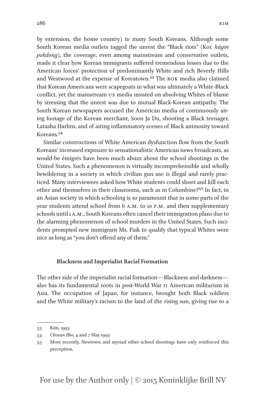by extension, the home country) to many South Koreans. Although some South Korean media outlets tagged the unrest the "Black riots" (Kor. *hŭgin pokdong*), the coverage, even among mainstream and conservative outlets, made it clear how Korean immigrants sufffered tremendous losses due to the American forces' protection of predominantly White and rich Beverly Hills and Westwood at the expense of Koreatown.53 The ROK media also claimed that Korean Americans were scapegoats in what was ultimately a White-Black conflict, yet the mainstream US media insisted on absolving Whites of blame by stressing that the unrest was due to mutual Black-Korean antipathy. The South Korean newspapers accused the American media of continuously airing footage of the Korean merchant, Soon Ja Du, shooting a Black teenager, Latasha Harlins, and of airing inflammatory scenes of Black animosity toward Koreans.54

Similar constructions of White American dysfunction flow from the South Koreans' increased exposure to sensationalistic American news broadcasts, as would-be émigrés have been much abuzz about the school shootings in the United States. Such a phenomenon is virtually incomprehensible and wholly bewildering in a society in which civilian gun use is illegal and rarely practiced. Many interviewees asked how White students could shoot and kill each other and themselves in their classrooms, such as in Columbine?55 In fact, in an Asian society in which schooling is so paramount that in some parts of the year students attend school from 6 a.m. to 10 p.m. and then supplementary schools until 1 a.m., South Koreans often cancel their immigration plans due to the alarming phenomenon of school murders in the United States. Such incidents prompted new immigrant Ms. Paik to qualify that typical Whites were nice as long as "you don't offend any of them."

#### **Blackness and Imperialist Racial Formation**

The other side of the imperialist racial formation—Blackness and darkness also has its fundamental roots in post-World War II American militarism in Asia. The occupation of Japan, for instance, brought both Black soldiers and the White military's racism to the land of the rising sun, giving rise to a

# For use by the Author only | © 2015 Koninklijke Brill NV

<sup>53</sup> Kim, 1993.

<sup>54</sup> *Chosun Ilbo*, 4 and 7 May 1992.

<sup>55</sup> More recently, Newtown and myriad other school shootings have only reinforced this perception.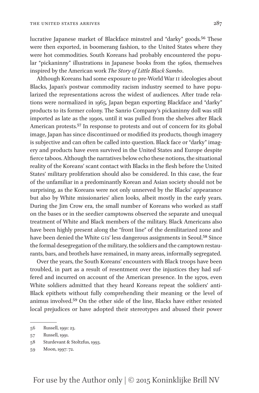lucrative Japanese market of Blackface minstrel and "darky" goods.<sup>56</sup> These were then exported, in boomerang fashion, to the United States where they were hot commodities. South Koreans had probably encountered the popular "pickaninny" illustrations in Japanese books from the 1960s, themselves inspired by the American work *The Story of Little Black Sambo*.

Although Koreans had some exposure to pre-World War II ideologies about Blacks, Japan's postwar commodity racism industry seemed to have popularized the representations across the widest of audiences. After trade relations were normalized in 1965, Japan began exporting Blackface and "darky" products to its former colony. The Sanrio Company's pickaninny doll was still imported as late as the 1990s, until it was pulled from the shelves after Black American protests.57 In response to protests and out of concern for its global image, Japan has since discontinued or modified its products, though imagery is subjective and can often be called into question. Black face or "darky" imagery and products have even survived in the United States and Europe despite fierce taboos. Although the narratives below echo these notions, the situational reality of the Koreans' scant contact with Blacks in the flesh before the United States' military proliferation should also be considered. In this case, the fear of the unfamiliar in a predominantly Korean and Asian society should not be surprising, as the Koreans were not only unnerved by the Blacks' appearance but also by White missionaries' alien looks, albeit mostly in the early years. During the Jim Crow era, the small number of Koreans who worked as stafff on the bases or in the seedier camptowns observed the separate and unequal treatment of White and Black members of the military. Black Americans also have been highly present along the "front line" of the demilitarized zone and have been denied the White GIs' less dangerous assignments in Seoul.<sup>58</sup> Since the formal desegregation of the military, the soldiers and the camptown restaurants, bars, and brothels have remained, in many areas, informally segregated.

Over the years, the South Koreans' encounters with Black troops have been troubled, in part as a result of resentment over the injustices they had suffered and incurred on account of the American presence. In the 1970s, even White soldiers admitted that they heard Koreans repeat the soldiers' anti-Black epithets without fully comprehending their meaning or the level of animus involved.59 On the other side of the line, Blacks have either resisted local prejudices or have adopted their stereotypes and abused their power

<sup>56</sup> Russell, 1991: 23.

<sup>57</sup> Russell, 1991.

<sup>58</sup> Sturdevant & Stoltzfus, 1993.

<sup>59</sup> Moon, 1997: 72.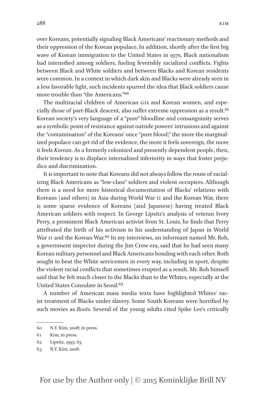over Koreans, potentially signaling Black Americans' reactionary methods and their oppression of the Korean populace. In addition, shortly after the first big wave of Korean immigration to the United States in 1970, Black nationalism had intensified among soldiers, fueling feverishly racialized conflicts. Fights between Black and White soldiers and between Blacks and Korean residents were common. In a context in which dark skin and Blacks were already seen in a less favorable light, such incidents spurred the idea that Black soldiers cause more trouble than "the Americans"<sup>60</sup>

The multiracial children of American GIs and Korean women, and especially those of part-Black descent, also suffer extreme oppression as a result.<sup>61</sup> Korean society's very language of a "pure" bloodline and consanguinity serves as a symbolic point of resistance against outside powers' intrusions and against the "contamination" of the Koreans' once "pure blood;" the more the marginalized populace can get rid of the evidence, the more it feels sovereign, the more it feels *Korean*. As a formerly colonized and presently dependent people, then, their tendency is to displace internalized inferiority in ways that foster prejudice and discrimination.

It is important to note that Koreans did not always follow the route of racializing Black Americans as "low-class" soldiers and violent occupiers. Although there is a need for more historical documentation of Blacks' relations with Koreans (and others) in Asia during World War II and the Korean War, there is some sparse evidence of Koreans (and Japanese) having treated Black American soldiers with respect. In George Lipsitz's analysis of veteran Ivory Perry, a prominent Black American activist from St. Louis, he finds that Perry attributed the birth of his activism to his understanding of Japan in World War II and the Korean War.<sup>62</sup> In my interviews, an informant named Mr. Roh, a government inspector during the Jim Crow era, said that he had seen many Korean military personnel and Black Americans bonding with each other. Both sought to beat the White servicemen in every way, including in sport, despite the violent racial conflicts that sometimes erupted as a result. Mr. Roh himself said that he felt much closer to the Blacks than to the Whites, especially at the United States Consulate in Seoul.63

A number of American mass media texts have highlighted Whites' racist treatment of Blacks under slavery. Some South Koreans were horrified by such movies as *Roots*. Several of the young adults cited Spike Lee's critically

<sup>60</sup> N.Y. Kim, 2008; in press.

<sup>61</sup> Kim, in press.

<sup>62</sup> Lipsitz, 1995: 63.

<sup>63</sup> N.Y. Kim, 2008.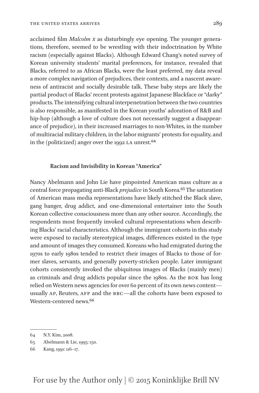acclaimed film *Malcolm x* as disturbingly eye opening. The younger generations, therefore, seemed to be wrestling with their indoctrination by White racism (especially against Blacks). Although Edward Chang's noted survey of Korean university students' marital preferences, for instance, revealed that Blacks, referred to as African Blacks, were the least preferred, my data reveal a more complex navigation of prejudices, their contexts, and a nascent awareness of antiracist and socially desirable talk. These baby steps are likely the partial product of Blacks' recent protests against Japanese Blackface or "darky" products. The intensifying cultural interpenetration between the two countries is also responsible, as manifested in the Korean youths' adoration of R&B and hip-hop (although a love of culture does not necessarily suggest a disappearance of prejudice), in their increased marriages to non-Whites, in the number of multiracial military children, in the labor migrants' protests for equality, and in the (politicized) anger over the 1992 LA unrest.64

#### **Racism and Invisibility in Korean "America"**

Nancy Abelmann and John Lie have pinpointed American mass culture as a central force propagating anti-Black *prejudice* in South Korea.65 The saturation of American mass media representations have likely stitched the Black slave, gang banger, drug addict, and one-dimensional entertainer into the South Korean collective consciousness more than any other source. Accordingly, the respondents most frequently invoked cultural representations when describing Blacks' racial characteristics. Although the immigrant cohorts in this study were exposed to racially stereotypical images, differences existed in the type and amount of images they consumed. Koreans who had emigrated during the 1970s to early 1980s tended to restrict their images of Blacks to those of former slaves, servants, and generally poverty-stricken people. Later immigrant cohorts consistently invoked the ubiquitous images of Blacks (mainly men) as criminals and drug addicts popular since the 1980s. As the ROK has long relied on Western news agencies for over 60 percent of its own news content usually AP, Reuters, AFP and the BBC—all the cohorts have been exposed to Western-centered news.66

<sup>64</sup> N.Y. Kim, 2008.

<sup>65</sup> Abelmann & Lie, 1995: 150.

<sup>66</sup> Kang, 1991: 116–17.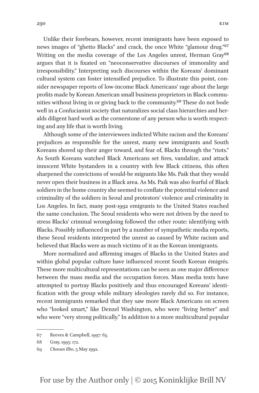Unlike their forebears, however, recent immigrants have been exposed to news images of "ghetto Blacks" and crack, the once White "glamour drug."67 Writing on the media coverage of the Los Angeles unrest, Herman Gray<sup>68</sup> argues that it is fixated on "neoconservative discourses of immorality and irresponsibility." Interpreting such discourses within the Koreans' dominant cultural system can foster intensified prejudice. To illustrate this point, consider newspaper reports of low-income Black Americans' rage about the large profits made by Korean American small business proprietors in Black communities without living in or giving back to the community.69 These do not bode well in a Confucianist society that naturalizes social class hierarchies and heralds diligent hard work as the cornerstone of any person who is worth respecting and any life that is worth living.

Although some of the interviewees indicted White racism and the Koreans' prejudices as responsible for the unrest, many new immigrants and South Koreans shored up their anger toward, and fear of, Blacks through the "riots." As South Koreans watched Black Americans set fires, vandalize, and attack innocent White bystanders in a country with few Black citizens, this often sharpened the convictions of would-be migrants like Ms. Paik that they would never open their business in a Black area. As Ms. Paik was also fearful of Black soldiers in the home country she seemed to conflate the potential violence and criminality of the soldiers in Seoul and protestors' violence and criminality in Los Angeles. In fact, many post-1992 emigrants to the United States reached the same conclusion. The Seoul residents who were not driven by the need to stress Blacks' criminal wrongdoing followed the other route: identifying with Blacks. Possibly influenced in part by a number of sympathetic media reports, these Seoul residents interpreted the unrest as caused by White racism and believed that Blacks were as much victims of it as the Korean immigrants.

More normalized and affirming images of Blacks in the United States and within global popular culture have influenced recent South Korean émigrés. These more multicultural representations can be seen as one major difference between the mass media and the occupation forces. Mass media texts have attempted to portray Blacks positively and thus encouraged Koreans' identification with the group while military ideologies rarely did so. For instance, recent immigrants remarked that they saw more Black Americans on screen who "looked smart," like Denzel Washington, who were "living better" and who were "very strong politically." In addition to a more multicultural popular

<sup>67</sup> Reeves & Campbell, 1997: 63.

<sup>68</sup> Gray, 1995: 172.

<sup>69</sup> *Chosun Ilbo*, 5 May 1992.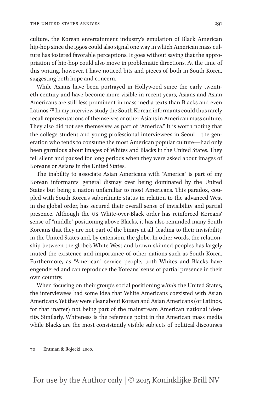culture, the Korean entertainment industry's emulation of Black American hip-hop since the 1990s could also signal one way in which American mass culture has fostered favorable perceptions. It goes without saying that the appropriation of hip-hop could also move in problematic directions. At the time of this writing, however, I have noticed bits and pieces of both in South Korea, suggesting both hope and concern.

While Asians have been portrayed in Hollywood since the early twentieth century and have become more visible in recent years, Asians and Asian Americans are still less prominent in mass media texts than Blacks and even Latinos.70 In my interview study the South Korean informants could thus rarely recall representations of themselves or other Asians in American mass culture. They also did not see themselves as part of "America." It is worth noting that the college student and young professional interviewees in Seoul—the generation who tends to consume the most American popular culture—had only been garrulous about images of Whites and Blacks in the United States. They fell silent and paused for long periods when they were asked about images of Koreans or Asians in the United States.

The inability to associate Asian Americans with "America" is part of my Korean informants' general dismay over being dominated by the United States but being a nation unfamiliar to most Americans. This paradox, coupled with South Korea's subordinate status in relation to the advanced West in the global order, has secured their overall sense of invisibility and partial presence. Although the US White-over-Black order has reinforced Koreans' sense of "middle" positioning above Blacks, it has also reminded many South Koreans that they are not part of the binary at all, leading to their invisibility in the United States and, by extension, the globe. In other words, the relationship between the globe's White West and brown-skinned peoples has largely muted the existence and importance of other nations such as South Korea. Furthermore, as "American" service people, both Whites and Blacks have engendered and can reproduce the Koreans' sense of partial presence in their own country.

When focusing on their group's social positioning *within* the United States, the interviewees had some idea that White Americans coexisted with Asian Americans. Yet they were clear about Korean and Asian Americans (or Latinos, for that matter) not being part of the mainstream American national identity. Similarly, Whiteness is the reference point in the American mass media while Blacks are the most consistently visible subjects of political discourses

<sup>70</sup> Entman & Rojecki, 2000.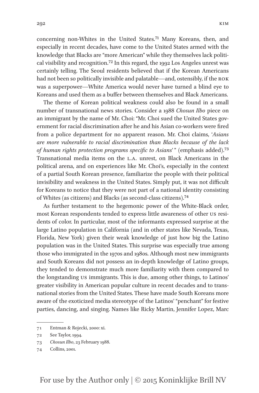concerning non-Whites in the United States.<sup>71</sup> Many Koreans, then, and especially in recent decades, have come to the United States armed with the knowledge that Blacks are "more American" while they themselves lack political visibility and recognition.72 In this regard, the 1992 Los Angeles unrest was certainly telling. The Seoul residents believed that if the Korean Americans had not been so politically invisible and palatable—and, ostensibly, if the ROK was a superpower—White America would never have turned a blind eye to Koreans and used them as a bufffer between themselves and Black Americans.

The theme of Korean political weakness could also be found in a small number of transnational news stories. Consider a 1988 *Chosun Ilbo* piece on an immigrant by the name of Mr. Choi: "Mr. Choi sued the United States government for racial discrimination after he and his Asian co-workers were fired from a police department for no apparent reason. Mr. Choi claims, '*Asians are more vulnerable to racial discrimination than Blacks because of the lack of human rights protection programs specific to Asians*'<sup>*"*</sup> (emphasis added).<sup>73</sup> Transnational media items on the L.A. unrest, on Black Americans in the political arena, and on experiences like Mr. Choi's, especially in the context of a partial South Korean presence, familiarize the people with their political invisibility and weakness in the United States. Simply put, it was not difficult for Koreans to notice that they were not part of a national identity consisting of Whites (as citizens) and Blacks (as second-class citizens).74

As further testament to the hegemonic power of the White-Black order, most Korean respondents tended to express little awareness of other US residents of color. In particular, most of the informants expressed surprise at the large Latino population in California (and in other states like Nevada, Texas, Florida, New York) given their weak knowledge of just how big the Latino population was in the United States. This surprise was especially true among those who immigrated in the 1970s and 1980s. Although most new immigrants and South Koreans did not possess an in-depth knowledge of Latino groups, they tended to demonstrate much more familiarity with them compared to the longstanding US immigrants. This is due, among other things, to Latinos' greater visibility in American popular culture in recent decades and to transnational stories from the United States. These have made South Koreans more aware of the exoticized media stereotype of the Latinos' "penchant" for festive parties, dancing, and singing. Names like Ricky Martin, Jennifer Lopez, Marc

<sup>71</sup> Entman & Rojecki, 2000: xi.

<sup>72</sup> See Taylor, 1994.

<sup>73</sup> *Chosun Ilbo*, 23 February 1988.

<sup>74</sup> Collins, 2001.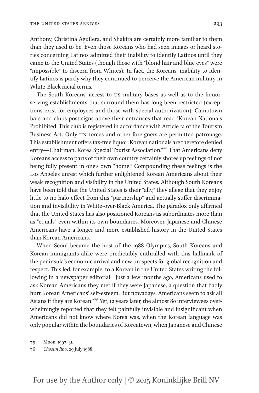Anthony, Christina Aguilera, and Shakira are certainly more familiar to them than they used to be. Even those Koreans who had seen images or heard stories concerning Latinos admitted their inability to identify Latinos until they came to the United States (though those with "blond hair and blue eyes" were "impossible" to discern from Whites). In fact, the Koreans' inability to identify Latinos is partly why they continued to perceive the American military in White-Black racial terms.

The South Koreans' access to US military bases as well as to the liquorserving establishments that surround them has long been restricted (exceptions exist for employees and those with special authorization). Camptown bars and clubs post signs above their entrances that read "Korean Nationals Prohibited: This club is registered in accordance with Article 21 of the Tourism Business Act. Only UN forces and other foreigners are permitted patronage. This establishment offers tax-free liquor; Korean nationals are therefore denied entry—Chairman, Korea Special Tourist Association."75 That Americans deny Koreans access to parts of their own country certainly shores up feelings of not being fully present in one's own "home." Compounding these feelings is the Los Angeles unrest which further enlightened Korean Americans about their weak recognition and visibility in the United States. Although South Koreans have been told that the United States is their "ally," they allege that they enjoy little to no halo effect from this "partnership" and actually suffer discrimination and invisibility in White-over-Black America. The paradox only affirmed that the United States has also positioned Koreans as subordinates more than as "equals" even within its own boundaries. Moreover, Japanese and Chinese Americans have a longer and more established history in the United States than Korean Americans.

When Seoul became the host of the 1988 Olympics, South Koreans and Korean immigrants alike were predictably enthralled with this hallmark of the peninsula's economic arrival and new prospects for global recognition and respect. This led, for example, to a Korean in the United States writing the following in a newspaper editorial: "Just a few months ago, Americans used to ask Korean Americans they met if they were Japanese, a question that badly hurt Korean Americans' self-esteem. But nowadays, Americans seem to ask all Asians if they are Korean."76 Yet, 12 years later, the almost 80 interviewees overwhelmingly reported that they felt painfully invisible and insignificant when Americans did not know where Korea was, when the Korean language was only popular within the boundaries of Koreatown, when Japanese and Chinese

<sup>75</sup> Moon, 1997: 31.

<sup>76</sup> *Chosun Ilbo*, 29 July 1988.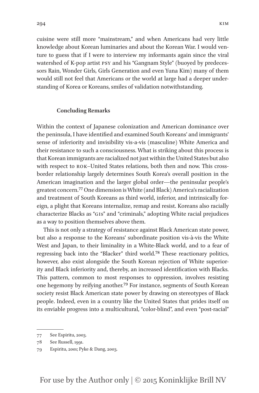cuisine were still more "mainstream," and when Americans had very little knowledge about Korean luminaries and about the Korean War. I would venture to guess that if I were to interview my informants again since the viral watershed of K-pop artist PSY and his "Gangnam Style" (buoyed by predecessors Rain, Wonder Girls, Girls Generation and even Yuna Kim) many of them would still not feel that Americans or the world at large had a deeper understanding of Korea or Koreans, smiles of validation notwithstanding.

#### **Concluding Remarks**

Within the context of Japanese colonization and American dominance over the peninsula, I have identified and examined South Koreans' and immigrants' sense of inferiority and invisibility vis-a-vis (masculine) White America and their resistance to such a consciousness. What is striking about this process is that Korean immigrants are racialized not just within the United States but also with respect to ROK–United States relations, both then and now. This crossborder relationship largely determines South Korea's overall position in the American imagination and the larger global order—the peninsular people's greatest concern.77 One dimension is White (and Black) America's racialization and treatment of South Koreans as third world, inferior, and intrinsically foreign, a plight that Koreans internalize, remap and resist. Koreans also racially characterize Blacks as "GIs" and "criminals," adopting White racial prejudices as a way to position themselves above them.

This is not only a strategy of resistance against Black American state power, but also a response to the Koreans' subordinate position vis-à-vis the White West and Japan, to their liminality in a White-Black world, and to a fear of regressing back into the "Blacker" third world.78 These reactionary politics, however, also exist alongside the South Korean rejection of White superiority and Black inferiority and, thereby, an increased identification with Blacks. This pattern, common to most responses to oppression, involves resisting one hegemony by reifying another.79 For instance, segments of South Korean society resist Black American state power by drawing on stereotypes of Black people. Indeed, even in a country like the United States that prides itself on its enviable progress into a multicultural, "color-blind", and even "post-racial"

<sup>77</sup> See Espiritu, 2003.

<sup>78</sup> See Russell, 1991.

<sup>79</sup> Espiritu, 2001; Pyke & Dang, 2003.